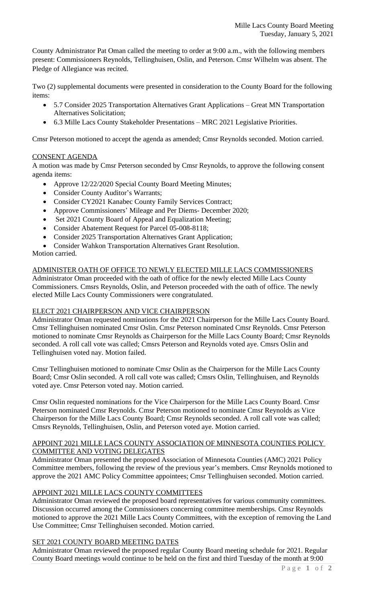County Administrator Pat Oman called the meeting to order at 9:00 a.m., with the following members present: Commissioners Reynolds, Tellinghuisen, Oslin, and Peterson. Cmsr Wilhelm was absent. The Pledge of Allegiance was recited.

Two (2) supplemental documents were presented in consideration to the County Board for the following items:

- 5.7 Consider 2025 Transportation Alternatives Grant Applications Great MN Transportation Alternatives Solicitation;
- 6.3 Mille Lacs County Stakeholder Presentations MRC 2021 Legislative Priorities.

Cmsr Peterson motioned to accept the agenda as amended; Cmsr Reynolds seconded. Motion carried.

## CONSENT AGENDA

A motion was made by Cmsr Peterson seconded by Cmsr Reynolds, to approve the following consent agenda items:

- Approve 12/22/2020 Special County Board Meeting Minutes;
- Consider County Auditor's Warrants;
- Consider CY2021 Kanabec County Family Services Contract;
- Approve Commissioners' Mileage and Per Diems- December 2020;
- Set 2021 County Board of Appeal and Equalization Meeting;
- Consider Abatement Request for Parcel 05-008-8118;
- Consider 2025 Transportation Alternatives Grant Application;
- Consider Wahkon Transportation Alternatives Grant Resolution.

Motion carried.

#### ADMINISTER OATH OF OFFICE TO NEWLY ELECTED MILLE LACS COMMISSIONERS

Administrator Oman proceeded with the oath of office for the newly elected Mille Lacs County Commissioners. Cmsrs Reynolds, Oslin, and Peterson proceeded with the oath of office. The newly elected Mille Lacs County Commissioners were congratulated.

#### ELECT 2021 CHAIRPERSON AND VICE CHAIRPERSON

Administrator Oman requested nominations for the 2021 Chairperson for the Mille Lacs County Board. Cmsr Tellinghuisen nominated Cmsr Oslin. Cmsr Peterson nominated Cmsr Reynolds. Cmsr Peterson motioned to nominate Cmsr Reynolds as Chairperson for the Mille Lacs County Board; Cmsr Reynolds seconded. A roll call vote was called; Cmsrs Peterson and Reynolds voted aye. Cmsrs Oslin and Tellinghuisen voted nay. Motion failed.

Cmsr Tellinghuisen motioned to nominate Cmsr Oslin as the Chairperson for the Mille Lacs County Board; Cmsr Oslin seconded. A roll call vote was called; Cmsrs Oslin, Tellinghuisen, and Reynolds voted aye. Cmsr Peterson voted nay. Motion carried.

Cmsr Oslin requested nominations for the Vice Chairperson for the Mille Lacs County Board. Cmsr Peterson nominated Cmsr Reynolds. Cmsr Peterson motioned to nominate Cmsr Reynolds as Vice Chairperson for the Mille Lacs County Board; Cmsr Reynolds seconded. A roll call vote was called; Cmsrs Reynolds, Tellinghuisen, Oslin, and Peterson voted aye. Motion carried.

#### APPOINT 2021 MILLE LACS COUNTY ASSOCIATION OF MINNESOTA COUNTIES POLICY COMMITTEE AND VOTING DELEGATES

Administrator Oman presented the proposed Association of Minnesota Counties (AMC) 2021 Policy Committee members, following the review of the previous year's members. Cmsr Reynolds motioned to approve the 2021 AMC Policy Committee appointees; Cmsr Tellinghuisen seconded. Motion carried.

# APPOINT 2021 MILLE LACS COUNTY COMMITTEES

Administrator Oman reviewed the proposed board representatives for various community committees. Discussion occurred among the Commissioners concerning committee memberships. Cmsr Reynolds motioned to approve the 2021 Mille Lacs County Committees, with the exception of removing the Land Use Committee; Cmsr Tellinghuisen seconded. Motion carried.

#### SET 2021 COUNTY BOARD MEETING DATES

Administrator Oman reviewed the proposed regular County Board meeting schedule for 2021. Regular County Board meetings would continue to be held on the first and third Tuesday of the month at 9:00